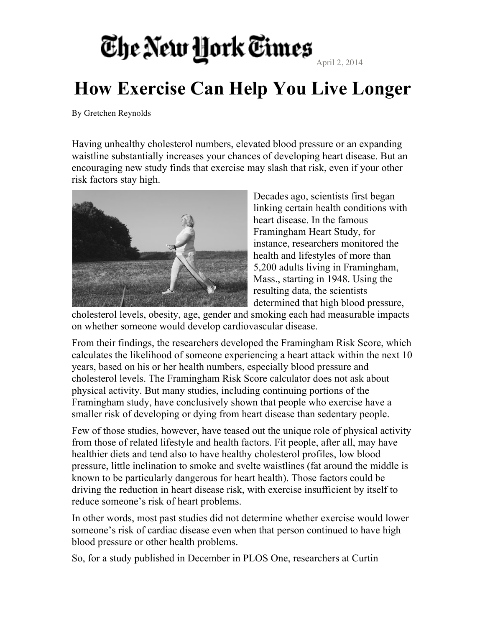## The New York Times

April 2, 2014

## **How Exercise Can Help You Live Longer**

By Gretchen Reynolds

Having unhealthy cholesterol numbers, elevated blood pressure or an expanding waistline substantially increases your chances of developing heart disease. But an encouraging new study finds that exercise may slash that risk, even if your other risk factors stay high.



Decades ago, scientists first began linking certain health conditions with heart disease. In the famous Framingham Heart Study, for instance, researchers monitored the health and lifestyles of more than 5,200 adults living in Framingham, Mass., starting in 1948. Using the resulting data, the scientists determined that high blood pressure,

cholesterol levels, obesity, age, gender and smoking each had measurable impacts on whether someone would develop cardiovascular disease.

From their findings, the researchers developed the Framingham Risk Score, which calculates the likelihood of someone experiencing a heart attack within the next 10 years, based on his or her health numbers, especially blood pressure and cholesterol levels. The Framingham Risk Score calculator does not ask about physical activity. But many studies, including continuing portions of the Framingham study, have conclusively shown that people who exercise have a smaller risk of developing or dying from heart disease than sedentary people.

Few of those studies, however, have teased out the unique role of physical activity from those of related lifestyle and health factors. Fit people, after all, may have healthier diets and tend also to have healthy cholesterol profiles, low blood pressure, little inclination to smoke and svelte waistlines (fat around the middle is known to be particularly dangerous for heart health). Those factors could be driving the reduction in heart disease risk, with exercise insufficient by itself to reduce someone's risk of heart problems.

In other words, most past studies did not determine whether exercise would lower someone's risk of cardiac disease even when that person continued to have high blood pressure or other health problems.

So, for a study published in December in PLOS One, researchers at Curtin